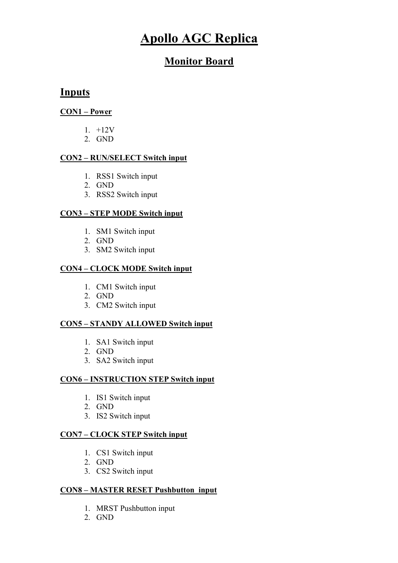# Apollo AGC Replica

# Monitor Board

### Inputs

#### CON1 – Power

- 1. +12V
- 2. GND

#### CON2 – RUN/SELECT Switch input

- 1. RSS1 Switch input
- 2. GND
- 3. RSS2 Switch input

### CON3 – STEP MODE Switch input

- 1. SM1 Switch input
- 2. GND
- 3. SM2 Switch input

#### CON4 – CLOCK MODE Switch input

- 1. CM1 Switch input
- 2. GND
- 3. CM2 Switch input

### CON5 – STANDY ALLOWED Switch input

- 1. SA1 Switch input
- 2. GND
- 3. SA2 Switch input

#### CON6 – INSTRUCTION STEP Switch input

- 1. IS1 Switch input
- 2. GND
- 3. IS2 Switch input

#### CON7 – CLOCK STEP Switch input

- 1. CS1 Switch input
- 2. GND
- 3. CS2 Switch input

### CON8 – MASTER RESET Pushbutton input

- 1. MRST Pushbutton input
- 2. GND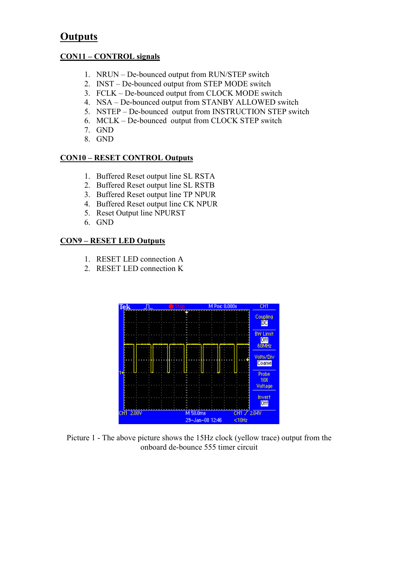# **Outputs**

#### CON11 – CONTROL signals

- 1. NRUN De-bounced output from RUN/STEP switch
- 2. INST De-bounced output from STEP MODE switch
- 3. FCLK De-bounced output from CLOCK MODE switch
- 4. NSA De-bounced output from STANBY ALLOWED switch
- 5. NSTEP De-bounced output from INSTRUCTION STEP switch
- 6. MCLK De-bounced output from CLOCK STEP switch
- 7. GND
- 8. GND

#### CON10 – RESET CONTROL Outputs

- 1. Buffered Reset output line SL RSTA
- 2. Buffered Reset output line SL RSTB
- 3. Buffered Reset output line TP NPUR
- 4. Buffered Reset output line CK NPUR
- 5. Reset Output line NPURST
- 6. GND

#### CON9 – RESET LED Outputs

- 1. RESET LED connection A
- 2. RESET LED connection K



Picture 1 - The above picture shows the 15Hz clock (yellow trace) output from the onboard de-bounce 555 timer circuit